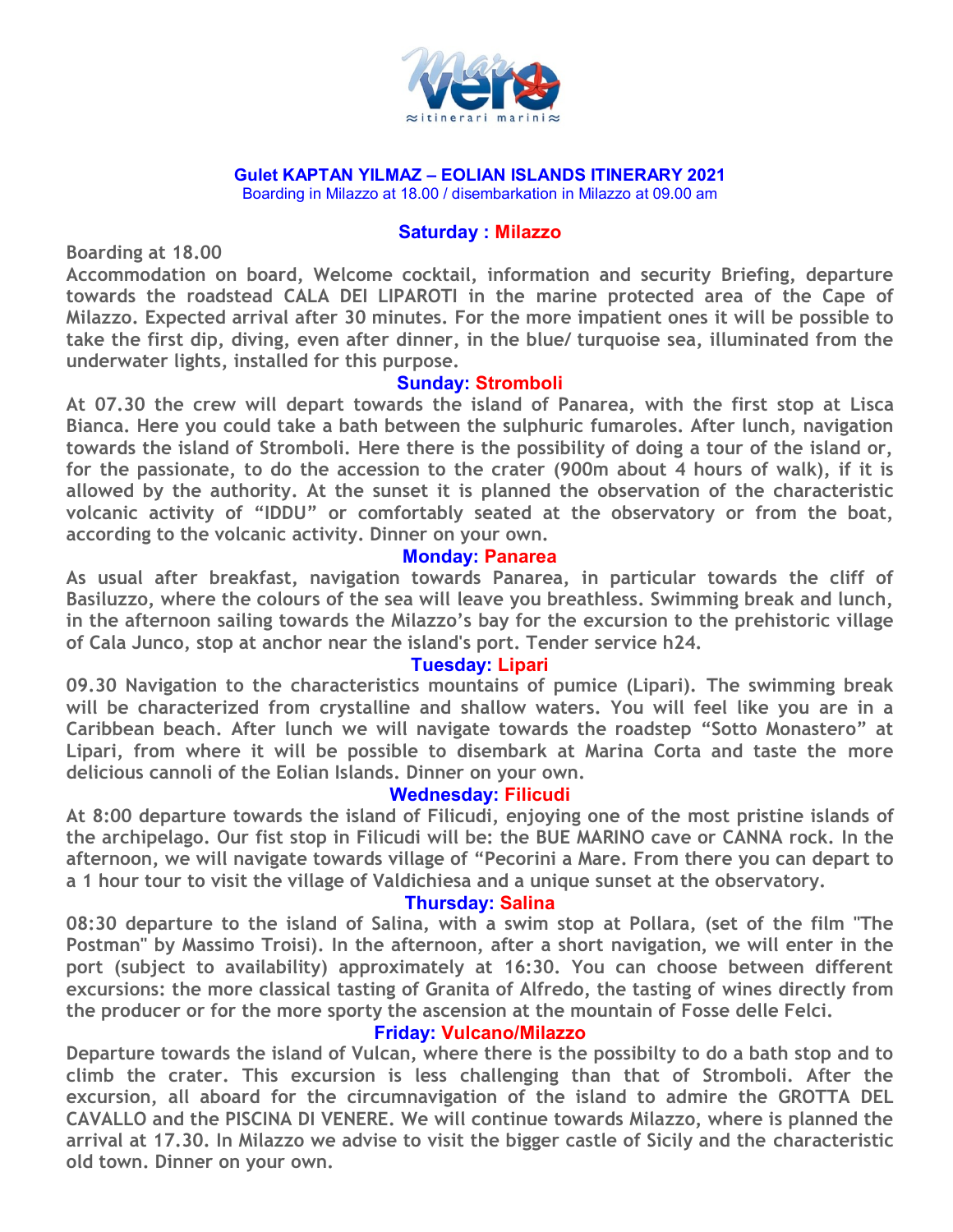

#### **Gulet KAPTAN YILMAZ – EOLIAN ISLANDS ITINERARY 2021**

Boarding in Milazzo at 18.00 / disembarkation in Milazzo at 09.00 am

#### **Saturday : Milazzo**

**Boarding at 18.00**

**Accommodation on board, Welcome cocktail, information and security Briefing, departure towards the roadstead CALA DEI LIPAROTI in the marine protected area of the Cape of Milazzo. Expected arrival after 30 minutes. For the more impatient ones it will be possible to take the first dip, diving, even after dinner, in the blue/ turquoise sea, illuminated from the underwater lights, installed for this purpose.**

## **Sunday: Stromboli**

**At 07.30 the crew will depart towards the island of Panarea, with the first stop at Lisca Bianca. Here you could take a bath between the sulphuric fumaroles. After lunch, navigation towards the island of Stromboli. Here there is the possibility of doing a tour of the island or, for the passionate, to do the accession to the crater (900m about 4 hours of walk), if it is allowed by the authority. At the sunset it is planned the observation of the characteristic volcanic activity of "IDDU" or comfortably seated at the observatory or from the boat, according to the volcanic activity. Dinner on your own.**

## **Monday: Panarea**

**As usual after breakfast, navigation towards Panarea, in particular towards the cliff of Basiluzzo, where the colours of the sea will leave you breathless. Swimming break and lunch, in the afternoon sailing towards the Milazzo's bay for the excursion to the prehistoric village of Cala Junco, stop at anchor near the island's port. Tender service h24.**

## **Tuesday: Lipari**

**09.30 Navigation to the characteristics mountains of pumice (Lipari). The swimming break will be characterized from crystalline and shallow waters. You will feel like you are in a Caribbean beach. After lunch we will navigate towards the roadstep "Sotto Monastero" at Lipari, from where it will be possible to disembark at Marina Corta and taste the more delicious cannoli of the Eolian Islands. Dinner on your own.**

## **Wednesday: Filicudi**

**At 8:00 departure towards the island of Filicudi, enjoying one of the most pristine islands of the archipelago. Our fist stop in Filicudi will be: the BUE MARINO cave or CANNA rock. In the afternoon, we will navigate towards village of "Pecorini a Mare. From there you can depart to a 1 hour tour to visit the village of Valdichiesa and a unique sunset at the observatory.**

## **Thursday: Salina**

**08:30 departure to the island of Salina, with a swim stop at Pollara, (set of the film "The Postman" by Massimo Troisi). In the afternoon, after a short navigation, we will enter in the port (subject to availability) approximately at 16:30. You can choose between different excursions: the more classical tasting of Granita of Alfredo, the tasting of wines directly from the producer or for the more sporty the ascension at the mountain of Fosse delle Felci.** 

## **Friday: Vulcano/Milazzo**

**Departure towards the island of Vulcan, where there is the possibilty to do a bath stop and to climb the crater. This excursion is less challenging than that of Stromboli. After the excursion, all aboard for the circumnavigation of the island to admire the GROTTA DEL CAVALLO and the PISCINA DI VENERE. We will continue towards Milazzo, where is planned the arrival at 17.30. In Milazzo we advise to visit the bigger castle of Sicily and the characteristic old town. Dinner on your own.**